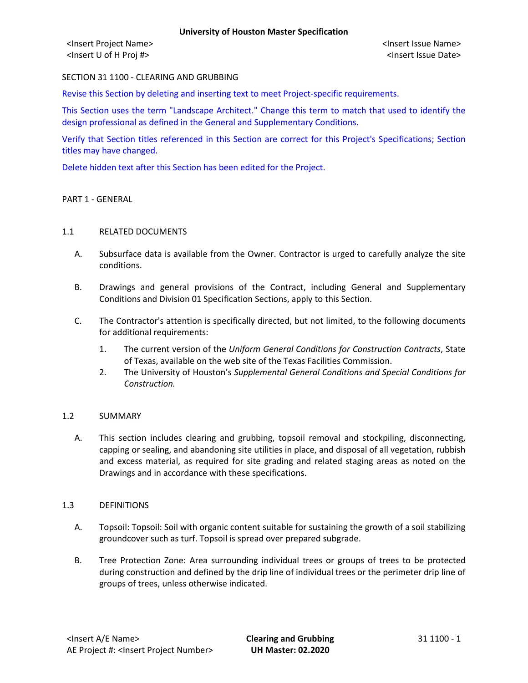<Insert Project Name> <Insert Issue Name> <Insert U of H Proj #> <Insert Issue Date>

## SECTION 31 1100 - CLEARING AND GRUBBING

Revise this Section by deleting and inserting text to meet Project-specific requirements.

This Section uses the term "Landscape Architect." Change this term to match that used to identify the design professional as defined in the General and Supplementary Conditions.

Verify that Section titles referenced in this Section are correct for this Project's Specifications; Section titles may have changed.

Delete hidden text after this Section has been edited for the Project.

### PART 1 - GENERAL

### 1.1 RELATED DOCUMENTS

- A. Subsurface data is available from the Owner. Contractor is urged to carefully analyze the site conditions.
- B. Drawings and general provisions of the Contract, including General and Supplementary Conditions and Division 01 Specification Sections, apply to this Section.
- C. The Contractor's attention is specifically directed, but not limited, to the following documents for additional requirements:
	- 1. The current version of the *Uniform General Conditions for Construction Contracts*, State of Texas, available on the web site of the Texas Facilities Commission.
	- 2. The University of Houston's *Supplemental General Conditions and Special Conditions for Construction.*

### 1.2 SUMMARY

A. This section includes clearing and grubbing, topsoil removal and stockpiling, disconnecting, capping or sealing, and abandoning site utilities in place, and disposal of all vegetation, rubbish and excess material, as required for site grading and related staging areas as noted on the Drawings and in accordance with these specifications.

### 1.3 DEFINITIONS

- A. Topsoil: Topsoil: Soil with organic content suitable for sustaining the growth of a soil stabilizing groundcover such as turf. Topsoil is spread over prepared subgrade.
- B. Tree Protection Zone: Area surrounding individual trees or groups of trees to be protected during construction and defined by the drip line of individual trees or the perimeter drip line of groups of trees, unless otherwise indicated.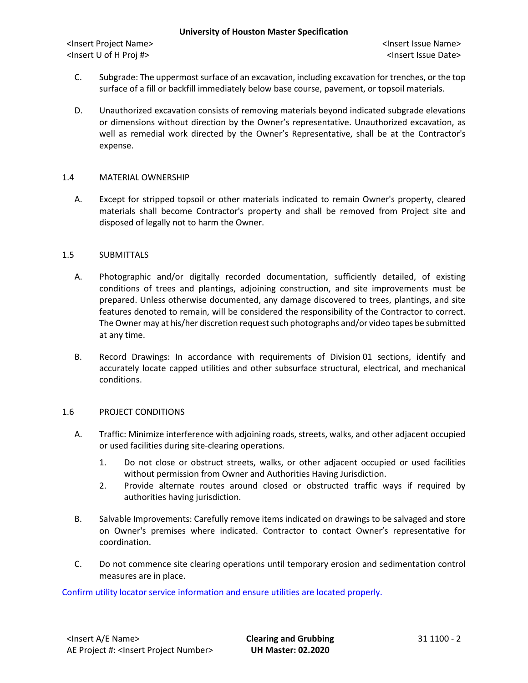### **University of Houston Master Specification**

<Insert Project Name> <Insert Issue Name> <Insert U of H Proj #> <Insert Issue Date>

- C. Subgrade: The uppermost surface of an excavation, including excavation for trenches, or the top surface of a fill or backfill immediately below base course, pavement, or topsoil materials.
- D. Unauthorized excavation consists of removing materials beyond indicated subgrade elevations or dimensions without direction by the Owner's representative. Unauthorized excavation, as well as remedial work directed by the Owner's Representative, shall be at the Contractor's expense.

## 1.4 MATERIAL OWNERSHIP

A. Except for stripped topsoil or other materials indicated to remain Owner's property, cleared materials shall become Contractor's property and shall be removed from Project site and disposed of legally not to harm the Owner.

## 1.5 SUBMITTALS

- A. Photographic and/or digitally recorded documentation, sufficiently detailed, of existing conditions of trees and plantings, adjoining construction, and site improvements must be prepared. Unless otherwise documented, any damage discovered to trees, plantings, and site features denoted to remain, will be considered the responsibility of the Contractor to correct. The Owner may at his/her discretion request such photographs and/or video tapes be submitted at any time.
- B. Record Drawings: In accordance with requirements of Division 01 sections, identify and accurately locate capped utilities and other subsurface structural, electrical, and mechanical conditions.

## 1.6 PROJECT CONDITIONS

- A. Traffic: Minimize interference with adjoining roads, streets, walks, and other adjacent occupied or used facilities during site-clearing operations.
	- 1. Do not close or obstruct streets, walks, or other adjacent occupied or used facilities without permission from Owner and Authorities Having Jurisdiction.
	- 2. Provide alternate routes around closed or obstructed traffic ways if required by authorities having jurisdiction.
- B. Salvable Improvements: Carefully remove items indicated on drawings to be salvaged and store on Owner's premises where indicated. Contractor to contact Owner's representative for coordination.
- C. Do not commence site clearing operations until temporary erosion and sedimentation control measures are in place.

## Confirm utility locator service information and ensure utilities are located properly.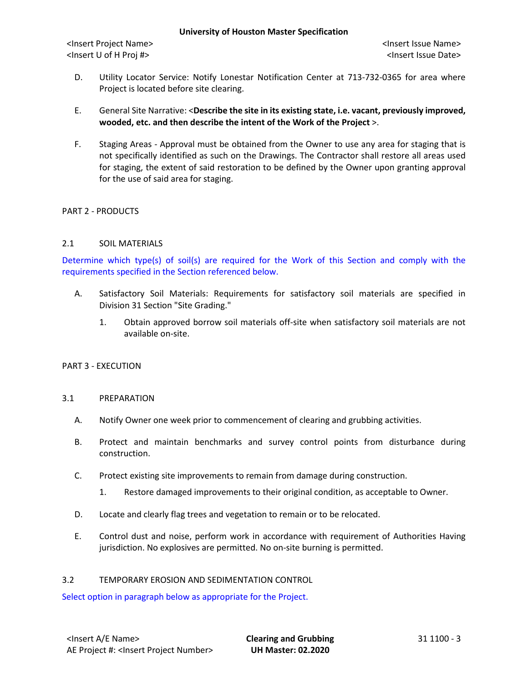#### **University of Houston Master Specification**

<Insert Project Name> <Insert Issue Name> <Insert U of H Proj #> <Insert Issue Date>

- D. Utility Locator Service: Notify Lonestar Notification Center at 713-732-0365 for area where Project is located before site clearing.
- E. General Site Narrative: <**Describe the site in its existing state, i.e. vacant, previously improved, wooded, etc. and then describe the intent of the Work of the Project** >.
- F. Staging Areas Approval must be obtained from the Owner to use any area for staging that is not specifically identified as such on the Drawings. The Contractor shall restore all areas used for staging, the extent of said restoration to be defined by the Owner upon granting approval for the use of said area for staging.

## PART 2 - PRODUCTS

### 2.1 SOIL MATERIALS

Determine which type(s) of soil(s) are required for the Work of this Section and comply with the requirements specified in the Section referenced below.

- A. Satisfactory Soil Materials: Requirements for satisfactory soil materials are specified in Division 31 Section "Site Grading."
	- 1. Obtain approved borrow soil materials off-site when satisfactory soil materials are not available on-site.

### PART 3 - EXECUTION

## 3.1 PREPARATION

- A. Notify Owner one week prior to commencement of clearing and grubbing activities.
- B. Protect and maintain benchmarks and survey control points from disturbance during construction.
- C. Protect existing site improvements to remain from damage during construction.
	- 1. Restore damaged improvements to their original condition, as acceptable to Owner.
- D. Locate and clearly flag trees and vegetation to remain or to be relocated.
- E. Control dust and noise, perform work in accordance with requirement of Authorities Having jurisdiction. No explosives are permitted. No on-site burning is permitted.

### 3.2 TEMPORARY EROSION AND SEDIMENTATION CONTROL

Select option in paragraph below as appropriate for the Project.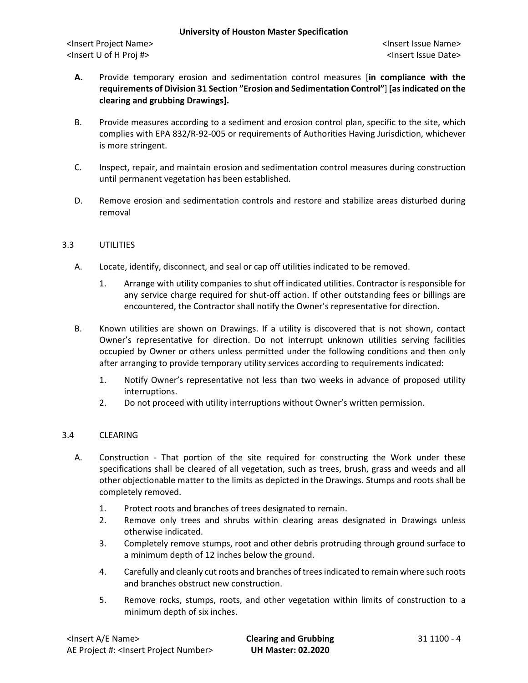- **A.** Provide temporary erosion and sedimentation control measures [**in compliance with the requirements of Division 31 Section "Erosion and Sedimentation Control"**] **[as indicated on the clearing and grubbing Drawings].**
- B. Provide measures according to a sediment and erosion control plan, specific to the site, which complies with EPA 832/R-92-005 or requirements of Authorities Having Jurisdiction, whichever is more stringent.
- C. Inspect, repair, and maintain erosion and sedimentation control measures during construction until permanent vegetation has been established.
- D. Remove erosion and sedimentation controls and restore and stabilize areas disturbed during removal

# 3.3 UTILITIES

- A. Locate, identify, disconnect, and seal or cap off utilities indicated to be removed.
	- 1. Arrange with utility companies to shut off indicated utilities. Contractor is responsible for any service charge required for shut-off action. If other outstanding fees or billings are encountered, the Contractor shall notify the Owner's representative for direction.
- B. Known utilities are shown on Drawings. If a utility is discovered that is not shown, contact Owner's representative for direction. Do not interrupt unknown utilities serving facilities occupied by Owner or others unless permitted under the following conditions and then only after arranging to provide temporary utility services according to requirements indicated:
	- 1. Notify Owner's representative not less than two weeks in advance of proposed utility interruptions.
	- 2. Do not proceed with utility interruptions without Owner's written permission.

## 3.4 CLEARING

- A. Construction That portion of the site required for constructing the Work under these specifications shall be cleared of all vegetation, such as trees, brush, grass and weeds and all other objectionable matter to the limits as depicted in the Drawings. Stumps and roots shall be completely removed.
	- 1. Protect roots and branches of trees designated to remain.
	- 2. Remove only trees and shrubs within clearing areas designated in Drawings unless otherwise indicated.
	- 3. Completely remove stumps, root and other debris protruding through ground surface to a minimum depth of 12 inches below the ground.
	- 4. Carefully and cleanly cut roots and branches of trees indicated to remain where such roots and branches obstruct new construction.
	- 5. Remove rocks, stumps, roots, and other vegetation within limits of construction to a minimum depth of six inches.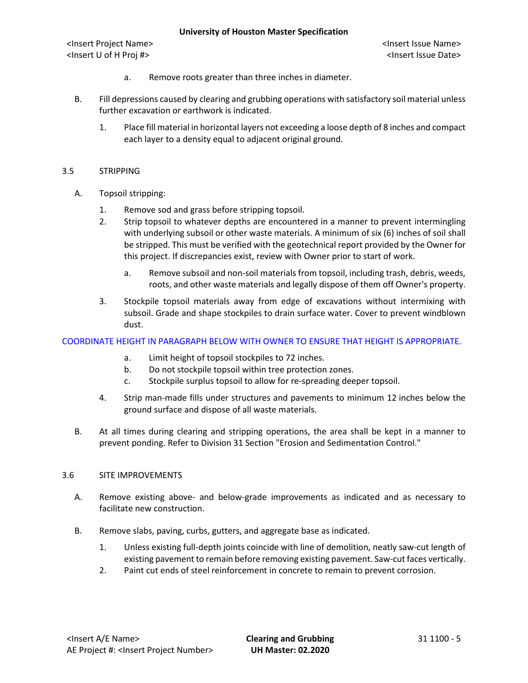<Insert Project Name> <Insert Issue Name> <Insert U of H Proj #> <Insert Issue Date>

- a. Remove roots greater than three inches in diameter.
- B. Fill depressions caused by clearing and grubbing operations with satisfactory soil material unless further excavation or earthwork is indicated.
	- 1. Place fill material in horizontal layers not exceeding a loose depth of 8 inches and compact each layer to a density equal to adjacent original ground.

## 3.5 STRIPPING

- A. Topsoil stripping:
	- 1. Remove sod and grass before stripping topsoil.
	- 2. Strip topsoil to whatever depths are encountered in a manner to prevent intermingling with underlying subsoil or other waste materials. A minimum of six (6) inches of soil shall be stripped. This must be verified with the geotechnical report provided by the Owner for this project. If discrepancies exist, review with Owner prior to start of work.
		- a. Remove subsoil and non-soil materials from topsoil, including trash, debris, weeds, roots, and other waste materials and legally dispose of them off Owner's property.
	- 3. Stockpile topsoil materials away from edge of excavations without intermixing with subsoil. Grade and shape stockpiles to drain surface water. Cover to prevent windblown dust.

## COORDINATE HEIGHT IN PARAGRAPH BELOW WITH OWNER TO ENSURE THAT HEIGHT IS APPROPRIATE.

- a. Limit height of topsoil stockpiles to 72 inches.
- b. Do not stockpile topsoil within tree protection zones.
- c. Stockpile surplus topsoil to allow for re-spreading deeper topsoil.
- 4. Strip man-made fills under structures and pavements to minimum 12 inches below the ground surface and dispose of all waste materials.
- B. At all times during clearing and stripping operations, the area shall be kept in a manner to prevent ponding. Refer to Division 31 Section "Erosion and Sedimentation Control."

### 3.6 SITE IMPROVEMENTS

- A. Remove existing above- and below-grade improvements as indicated and as necessary to facilitate new construction.
- B. Remove slabs, paving, curbs, gutters, and aggregate base as indicated.
	- 1. Unless existing full-depth joints coincide with line of demolition, neatly saw-cut length of existing pavement to remain before removing existing pavement. Saw-cut faces vertically.
	- 2. Paint cut ends of steel reinforcement in concrete to remain to prevent corrosion.